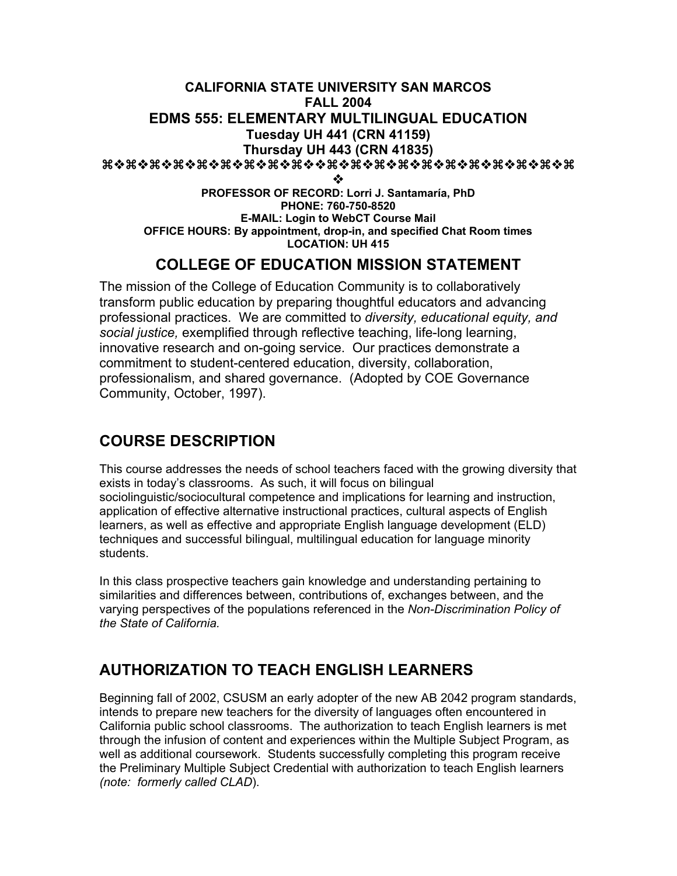#### **CALIFORNIA STATE UNIVERSITY SAN MARCOS FALL 2004 EDMS 555: ELEMENTARY MULTILINGUAL EDUCATION Tuesday UH 441 (CRN 41159) Thursday UH 443 (CRN 41835)** aaaaaaaaaaaaaaaaaaaa

❖

**PROFESSOR OF RECORD: Lorri J. Santamaría, PhD PHONE: 760-750-8520 E-MAIL: Login to WebCT Course Mail OFFICE HOURS: By appointment, drop-in, and specified Chat Room times LOCATION: UH 415**

## **COLLEGE OF EDUCATION MISSION STATEMENT**

The mission of the College of Education Community is to collaboratively transform public education by preparing thoughtful educators and advancing professional practices. We are committed to *diversity, educational equity, and social justice,* exemplified through reflective teaching, life-long learning, innovative research and on-going service. Our practices demonstrate a commitment to student-centered education, diversity, collaboration, professionalism, and shared governance. (Adopted by COE Governance Community, October, 1997).

## **COURSE DESCRIPTION**

This course addresses the needs of school teachers faced with the growing diversity that exists in today's classrooms. As such, it will focus on bilingual sociolinguistic/sociocultural competence and implications for learning and instruction, application of effective alternative instructional practices, cultural aspects of English learners, as well as effective and appropriate English language development (ELD) techniques and successful bilingual, multilingual education for language minority students.

In this class prospective teachers gain knowledge and understanding pertaining to similarities and differences between, contributions of, exchanges between, and the varying perspectives of the populations referenced in the *Non-Discrimination Policy of the State of California.*

## **AUTHORIZATION TO TEACH ENGLISH LEARNERS**

Beginning fall of 2002, CSUSM an early adopter of the new AB 2042 program standards, intends to prepare new teachers for the diversity of languages often encountered in California public school classrooms. The authorization to teach English learners is met through the infusion of content and experiences within the Multiple Subject Program, as well as additional coursework. Students successfully completing this program receive the Preliminary Multiple Subject Credential with authorization to teach English learners *(note: formerly called CLAD*).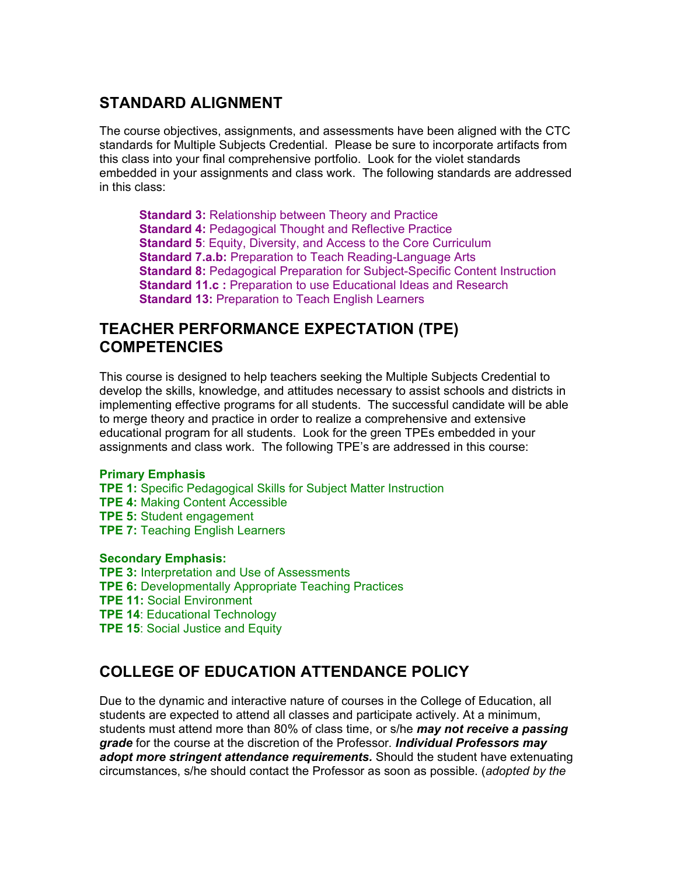## **STANDARD ALIGNMENT**

The course objectives, assignments, and assessments have been aligned with the CTC standards for Multiple Subjects Credential. Please be sure to incorporate artifacts from this class into your final comprehensive portfolio. Look for the violet standards embedded in your assignments and class work. The following standards are addressed in this class:

**Standard 3: Relationship between Theory and Practice Standard 4: Pedagogical Thought and Reflective Practice Standard 5**: Equity, Diversity, and Access to the Core Curriculum **Standard 7.a.b:** Preparation to Teach Reading-Language Arts **Standard 8:** Pedagogical Preparation for Subject-Specific Content Instruction **Standard 11.c :** Preparation to use Educational Ideas and Research **Standard 13:** Preparation to Teach English Learners

## **TEACHER PERFORMANCE EXPECTATION (TPE) COMPETENCIES**

This course is designed to help teachers seeking the Multiple Subjects Credential to develop the skills, knowledge, and attitudes necessary to assist schools and districts in implementing effective programs for all students. The successful candidate will be able to merge theory and practice in order to realize a comprehensive and extensive educational program for all students. Look for the green TPEs embedded in your assignments and class work. The following TPE's are addressed in this course:

#### **Primary Emphasis**

- **TPE 1:** Specific Pedagogical Skills for Subject Matter Instruction **TPE 4:** Making Content Accessible **TPE 5:** Student engagement
- **TPE 7:** Teaching English Learners

#### **Secondary Emphasis:**

- **TPE 3:** Interpretation and Use of Assessments
- **TPE 6:** Developmentally Appropriate Teaching Practices
- **TPE 11:** Social Environment
- **TPE 14**: Educational Technology
- **TPE 15**: Social Justice and Equity

## **COLLEGE OF EDUCATION ATTENDANCE POLICY**

Due to the dynamic and interactive nature of courses in the College of Education, all students are expected to attend all classes and participate actively. At a minimum, students must attend more than 80% of class time, or s/he *may not receive a passing grade* for the course at the discretion of the Professor*. Individual Professors may adopt more stringent attendance requirements.* Should the student have extenuating circumstances, s/he should contact the Professor as soon as possible. (*adopted by the*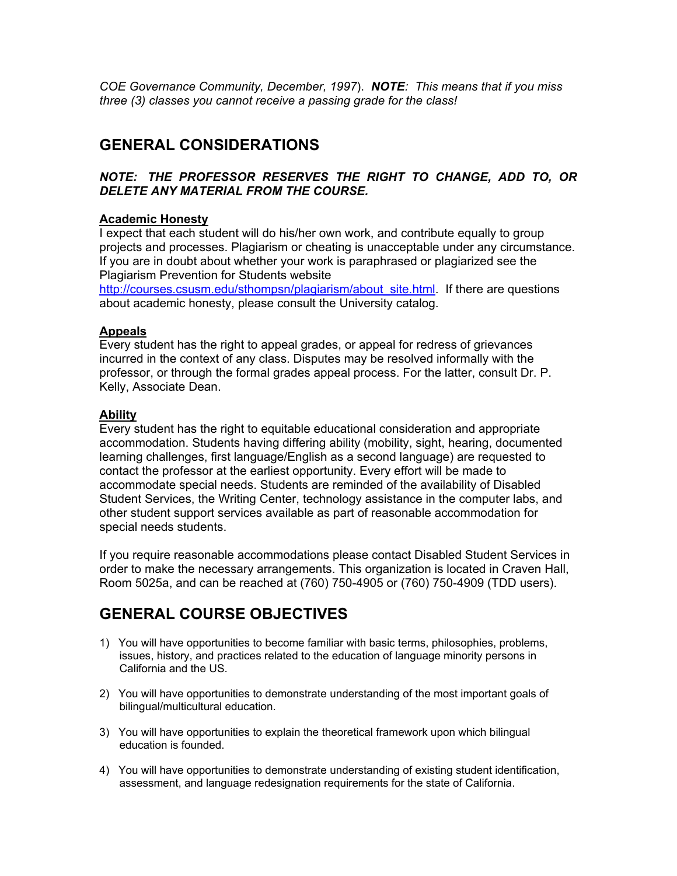*COE Governance Community, December, 1997*). *NOTE: This means that if you miss three (3) classes you cannot receive a passing grade for the class!*

## **GENERAL CONSIDERATIONS**

#### *NOTE: THE PROFESSOR RESERVES THE RIGHT TO CHANGE, ADD TO, OR DELETE ANY MATERIAL FROM THE COURSE.*

#### **Academic Honesty**

I expect that each student will do his/her own work, and contribute equally to group projects and processes. Plagiarism or cheating is unacceptable under any circumstance. If you are in doubt about whether your work is paraphrased or plagiarized see the Plagiarism Prevention for Students website

http://courses.csusm.edu/sthompsn/plagiarism/about\_site.html. If there are questions about academic honesty, please consult the University catalog.

#### **Appeals**

Every student has the right to appeal grades, or appeal for redress of grievances incurred in the context of any class. Disputes may be resolved informally with the professor, or through the formal grades appeal process. For the latter, consult Dr. P. Kelly, Associate Dean.

#### **Ability**

Every student has the right to equitable educational consideration and appropriate accommodation. Students having differing ability (mobility, sight, hearing, documented learning challenges, first language/English as a second language) are requested to contact the professor at the earliest opportunity. Every effort will be made to accommodate special needs. Students are reminded of the availability of Disabled Student Services, the Writing Center, technology assistance in the computer labs, and other student support services available as part of reasonable accommodation for special needs students.

If you require reasonable accommodations please contact Disabled Student Services in order to make the necessary arrangements. This organization is located in Craven Hall, Room 5025a, and can be reached at (760) 750-4905 or (760) 750-4909 (TDD users).

## **GENERAL COURSE OBJECTIVES**

- 1) You will have opportunities to become familiar with basic terms, philosophies, problems, issues, history, and practices related to the education of language minority persons in California and the US.
- 2) You will have opportunities to demonstrate understanding of the most important goals of bilingual/multicultural education.
- 3) You will have opportunities to explain the theoretical framework upon which bilingual education is founded.
- 4) You will have opportunities to demonstrate understanding of existing student identification, assessment, and language redesignation requirements for the state of California.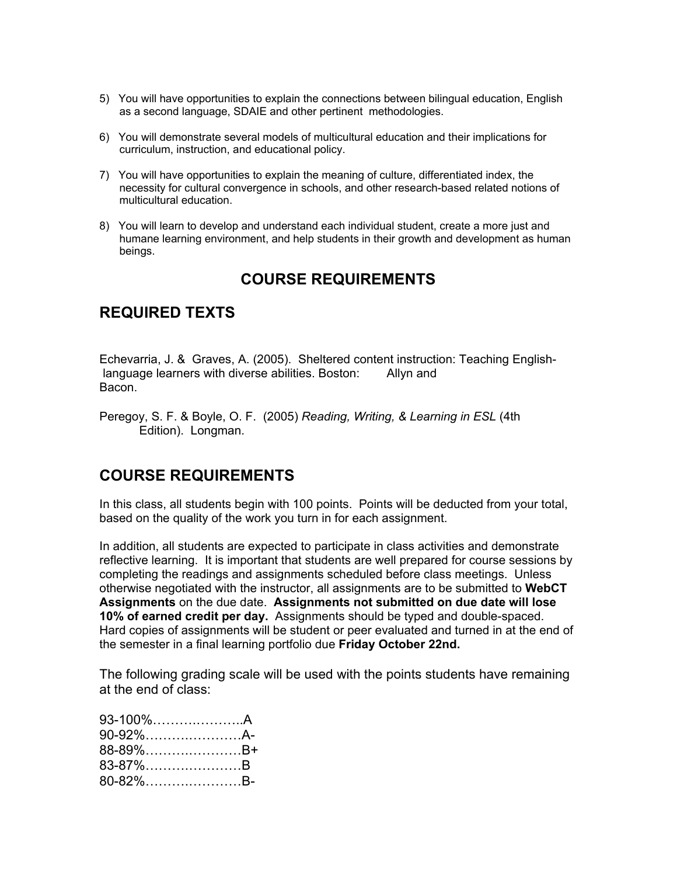- 5) You will have opportunities to explain the connections between bilingual education, English as a second language, SDAIE and other pertinent methodologies.
- 6) You will demonstrate several models of multicultural education and their implications for curriculum, instruction, and educational policy.
- 7) You will have opportunities to explain the meaning of culture, differentiated index, the necessity for cultural convergence in schools, and other research-based related notions of multicultural education.
- 8) You will learn to develop and understand each individual student, create a more just and humane learning environment, and help students in their growth and development as human beings.

## **COURSE REQUIREMENTS**

## **REQUIRED TEXTS**

Echevarria, J. & Graves, A. (2005). Sheltered content instruction: Teaching English language learners with diverse abilities. Boston: Allyn and Bacon.

Peregoy, S. F. & Boyle, O. F. (2005) *Reading, Writing, & Learning in ESL* (4th Edition). Longman.

## **COURSE REQUIREMENTS**

In this class, all students begin with 100 points. Points will be deducted from your total, based on the quality of the work you turn in for each assignment.

In addition, all students are expected to participate in class activities and demonstrate reflective learning. It is important that students are well prepared for course sessions by completing the readings and assignments scheduled before class meetings. Unless otherwise negotiated with the instructor, all assignments are to be submitted to **WebCT Assignments** on the due date. **Assignments not submitted on due date will lose 10% of earned credit per day.** Assignments should be typed and double-spaced. Hard copies of assignments will be student or peer evaluated and turned in at the end of the semester in a final learning portfolio due **Friday October 22nd.**

The following grading scale will be used with the points students have remaining at the end of class:

| 93-100%A |  |
|----------|--|
| 90-92%A- |  |
| 88-89%B+ |  |
| 83-87%B  |  |
| 80-82%B- |  |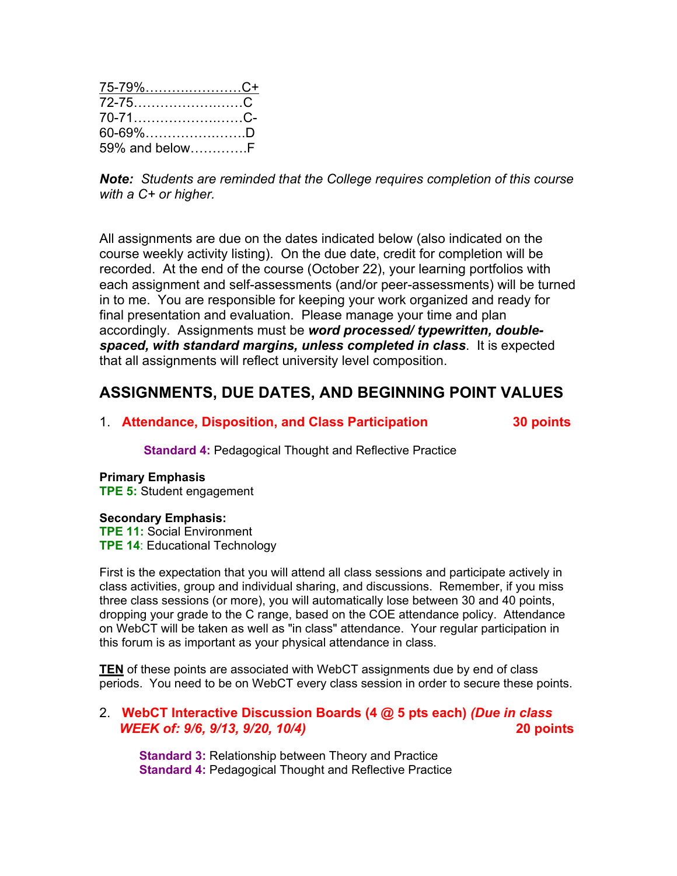| 75-79%C+       |  |
|----------------|--|
|                |  |
| 70-71C-        |  |
| 60-69%D        |  |
| 59% and belowF |  |

*Note: Students are reminded that the College requires completion of this course with a C+ or higher.*

All assignments are due on the dates indicated below (also indicated on the course weekly activity listing). On the due date, credit for completion will be recorded. At the end of the course (October 22), your learning portfolios with each assignment and self-assessments (and/or peer-assessments) will be turned in to me. You are responsible for keeping your work organized and ready for final presentation and evaluation. Please manage your time and plan accordingly. Assignments must be *word processed/ typewritten, doublespaced, with standard margins, unless completed in class*. It is expected that all assignments will reflect university level composition.

## **ASSIGNMENTS, DUE DATES, AND BEGINNING POINT VALUES**

#### 1. **Attendance, Disposition, and Class Participation 30 points**

**Standard 4:** Pedagogical Thought and Reflective Practice

# **Primary Emphasis**

**TPE 5:** Student engagement

#### **Secondary Emphasis:**

**TPE 11:** Social Environment **TPE 14**: Educational Technology

First is the expectation that you will attend all class sessions and participate actively in class activities, group and individual sharing, and discussions. Remember, if you miss three class sessions (or more), you will automatically lose between 30 and 40 points, dropping your grade to the C range, based on the COE attendance policy. Attendance on WebCT will be taken as well as "in class" attendance. Your regular participation in this forum is as important as your physical attendance in class.

**TEN** of these points are associated with WebCT assignments due by end of class periods. You need to be on WebCT every class session in order to secure these points.

#### 2. **WebCT Interactive Discussion Boards (4 @ 5 pts each)** *(Due in class WEEK of: 9/6, 9/13, 9/20, 10/4)* **20 points**

**Standard 3:** Relationship between Theory and Practice **Standard 4: Pedagogical Thought and Reflective Practice**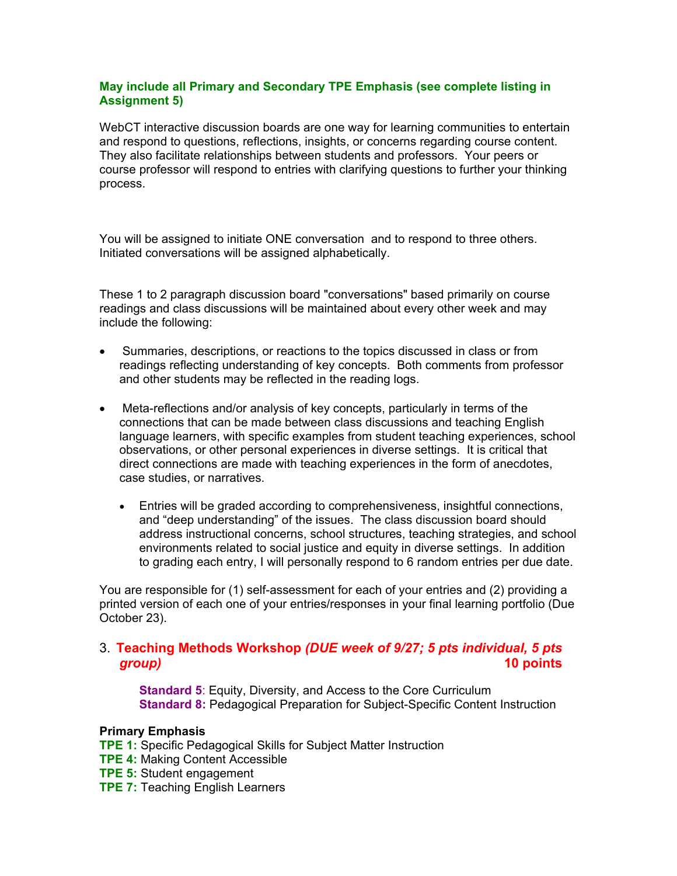#### **May include all Primary and Secondary TPE Emphasis (see complete listing in Assignment 5)**

WebCT interactive discussion boards are one way for learning communities to entertain and respond to questions, reflections, insights, or concerns regarding course content. They also facilitate relationships between students and professors. Your peers or course professor will respond to entries with clarifying questions to further your thinking process.

You will be assigned to initiate ONE conversation and to respond to three others. Initiated conversations will be assigned alphabetically.

These 1 to 2 paragraph discussion board "conversations" based primarily on course readings and class discussions will be maintained about every other week and may include the following:

- Summaries, descriptions, or reactions to the topics discussed in class or from readings reflecting understanding of key concepts. Both comments from professor and other students may be reflected in the reading logs.
- Meta-reflections and/or analysis of key concepts, particularly in terms of the connections that can be made between class discussions and teaching English language learners, with specific examples from student teaching experiences, school observations, or other personal experiences in diverse settings. It is critical that direct connections are made with teaching experiences in the form of anecdotes, case studies, or narratives.
	- Entries will be graded according to comprehensiveness, insightful connections, and "deep understanding" of the issues. The class discussion board should address instructional concerns, school structures, teaching strategies, and school environments related to social justice and equity in diverse settings. In addition to grading each entry, I will personally respond to 6 random entries per due date.

You are responsible for (1) self-assessment for each of your entries and (2) providing a printed version of each one of your entries/responses in your final learning portfolio (Due October 23).

#### 3. **Teaching Methods Workshop** *(DUE week of 9/27; 5 pts individual, 5 pts group)* **10 points**

**Standard 5**: Equity, Diversity, and Access to the Core Curriculum **Standard 8:** Pedagogical Preparation for Subject-Specific Content Instruction

#### **Primary Emphasis**

- **TPE 1:** Specific Pedagogical Skills for Subject Matter Instruction
- **TPE 4:** Making Content Accessible
- **TPE 5:** Student engagement
- **TPE 7:** Teaching English Learners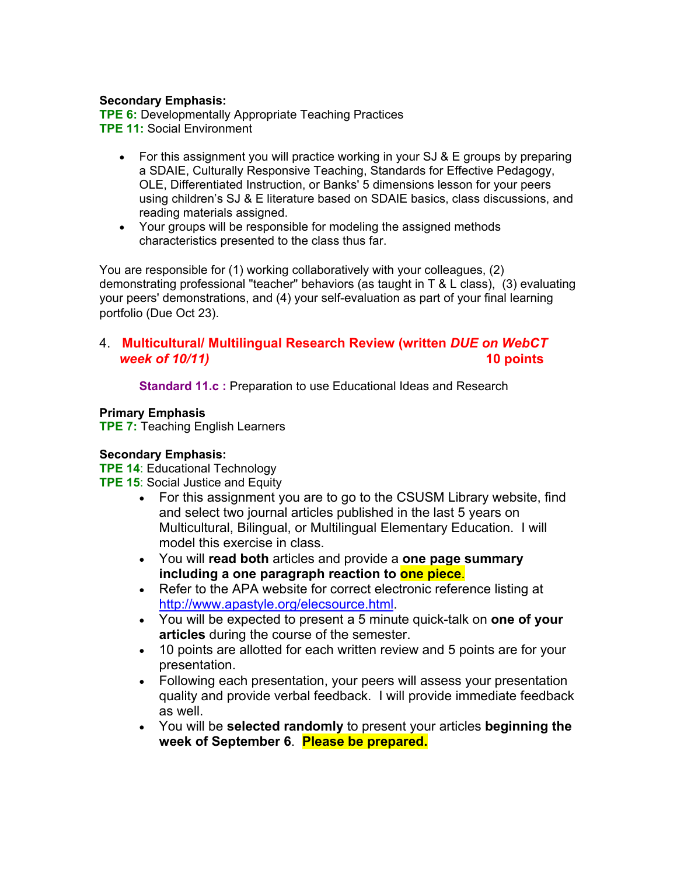#### **Secondary Emphasis:**

**TPE 6:** Developmentally Appropriate Teaching Practices **TPE 11:** Social Environment

- For this assignment you will practice working in your SJ & E groups by preparing a SDAIE, Culturally Responsive Teaching, Standards for Effective Pedagogy, OLE, Differentiated Instruction, or Banks' 5 dimensions lesson for your peers using children's SJ & E literature based on SDAIE basics, class discussions, and reading materials assigned.
- Your groups will be responsible for modeling the assigned methods characteristics presented to the class thus far.

You are responsible for (1) working collaboratively with your colleagues, (2) demonstrating professional "teacher" behaviors (as taught in T & L class), (3) evaluating your peers' demonstrations, and (4) your self-evaluation as part of your final learning portfolio (Due Oct 23).

#### 4. **Multicultural/ Multilingual Research Review (written** *DUE on WebCT week of 10/11)* **10 points**

**Standard 11.c :** Preparation to use Educational Ideas and Research

#### **Primary Emphasis**

**TPE 7:** Teaching English Learners

#### **Secondary Emphasis:**

**TPE 14**: Educational Technology

- **TPE 15: Social Justice and Equity** 
	- For this assignment you are to go to the CSUSM Library website, find and select two journal articles published in the last 5 years on Multicultural, Bilingual, or Multilingual Elementary Education. I will model this exercise in class.
	- You will **read both** articles and provide a **one page summary including a one paragraph reaction to one piece**.
	- Refer to the APA website for correct electronic reference listing at http://www.apastyle.org/elecsource.html.
	- You will be expected to present a 5 minute quick-talk on **one of your articles** during the course of the semester.
	- 10 points are allotted for each written review and 5 points are for your presentation.
	- Following each presentation, your peers will assess your presentation quality and provide verbal feedback. I will provide immediate feedback as well.
	- You will be **selected randomly** to present your articles **beginning the week of September 6**. **Please be prepared.**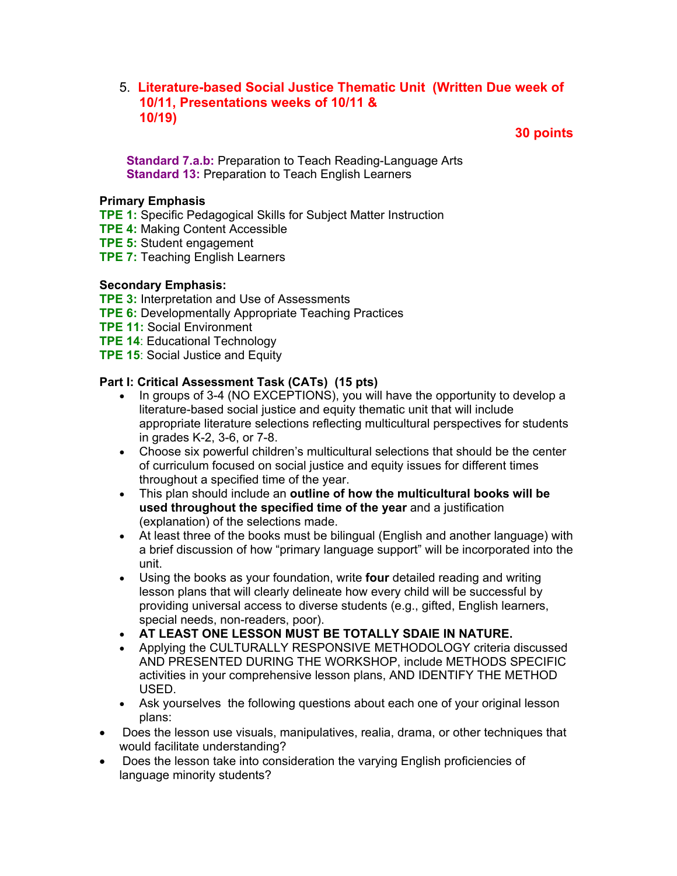#### 5. **Literature-based Social Justice Thematic Unit (Written Due week of 10/11, Presentations weeks of 10/11 & 10/19)**

 **30 points**

 **Standard 7.a.b:** Preparation to Teach Reading-Language Arts **Standard 13: Preparation to Teach English Learners** 

#### **Primary Emphasis**

- **TPE 1:** Specific Pedagogical Skills for Subject Matter Instruction
- **TPE 4:** Making Content Accessible
- **TPE 5:** Student engagement
- **TPE 7:** Teaching English Learners

#### **Secondary Emphasis:**

- **TPE 3:** Interpretation and Use of Assessments
- **TPE 6:** Developmentally Appropriate Teaching Practices
- **TPE 11:** Social Environment
- **TPE 14**: Educational Technology
- **TPE 15: Social Justice and Equity**

#### **Part I: Critical Assessment Task (CATs) (15 pts)**

- In groups of 3-4 (NO EXCEPTIONS), you will have the opportunity to develop a literature-based social justice and equity thematic unit that will include appropriate literature selections reflecting multicultural perspectives for students in grades K-2, 3-6, or 7-8.
- Choose six powerful children's multicultural selections that should be the center of curriculum focused on social justice and equity issues for different times throughout a specified time of the year.
- This plan should include an **outline of how the multicultural books will be used throughout the specified time of the year** and a justification (explanation) of the selections made.
- At least three of the books must be bilingual (English and another language) with a brief discussion of how "primary language support" will be incorporated into the unit.
- Using the books as your foundation, write **four** detailed reading and writing lesson plans that will clearly delineate how every child will be successful by providing universal access to diverse students (e.g., gifted, English learners, special needs, non-readers, poor).
- **AT LEAST ONE LESSON MUST BE TOTALLY SDAIE IN NATURE.**
- Applying the CULTURALLY RESPONSIVE METHODOLOGY criteria discussed AND PRESENTED DURING THE WORKSHOP, include METHODS SPECIFIC activities in your comprehensive lesson plans, AND IDENTIFY THE METHOD USED.
- Ask yourselves the following questions about each one of your original lesson plans:
- Does the lesson use visuals, manipulatives, realia, drama, or other techniques that would facilitate understanding?
- Does the lesson take into consideration the varying English proficiencies of language minority students?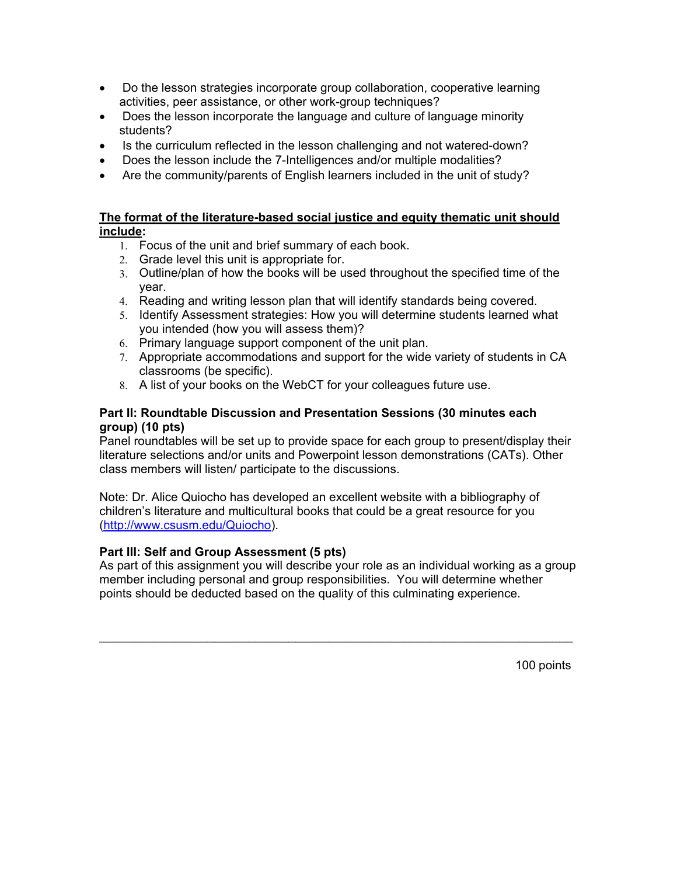- Do the lesson strategies incorporate group collaboration, cooperative learning activities, peer assistance, or other work-group techniques?
- Does the lesson incorporate the language and culture of language minority students?
- Is the curriculum reflected in the lesson challenging and not watered-down?
- Does the lesson include the 7-Intelligences and/or multiple modalities?
- Are the community/parents of English learners included in the unit of study?

#### **The format of the literature-based social justice and equity thematic unit should include:**

- 1. Focus of the unit and brief summary of each book.
- 2. Grade level this unit is appropriate for.
- 3. Outline/plan of how the books will be used throughout the specified time of the year.
- 4. Reading and writing lesson plan that will identify standards being covered.
- 5. Identify Assessment strategies: How you will determine students learned what you intended (how you will assess them)?
- 6. Primary language support component of the unit plan.
- 7. Appropriate accommodations and support for the wide variety of students in CA classrooms (be specific).
- 8. A list of your books on the WebCT for your colleagues future use.

#### **Part II: Roundtable Discussion and Presentation Sessions (30 minutes each group) (10 pts)**

Panel roundtables will be set up to provide space for each group to present/display their literature selections and/or units and Powerpoint lesson demonstrations (CATs). Other class members will listen/ participate to the discussions.

Note: Dr. Alice Quiocho has developed an excellent website with a bibliography of children's literature and multicultural books that could be a great resource for you (http://www.csusm.edu/Quiocho).

#### **Part III: Self and Group Assessment (5 pts)**

As part of this assignment you will describe your role as an individual working as a group member including personal and group responsibilities. You will determine whether points should be deducted based on the quality of this culminating experience.

\_\_\_\_\_\_\_\_\_\_\_\_\_\_\_\_\_\_\_\_\_\_\_\_\_\_\_\_\_\_\_\_\_\_\_\_\_\_\_\_\_\_\_\_\_\_\_\_\_\_\_\_\_\_\_\_\_\_\_\_\_\_\_\_\_\_\_\_\_\_

100 points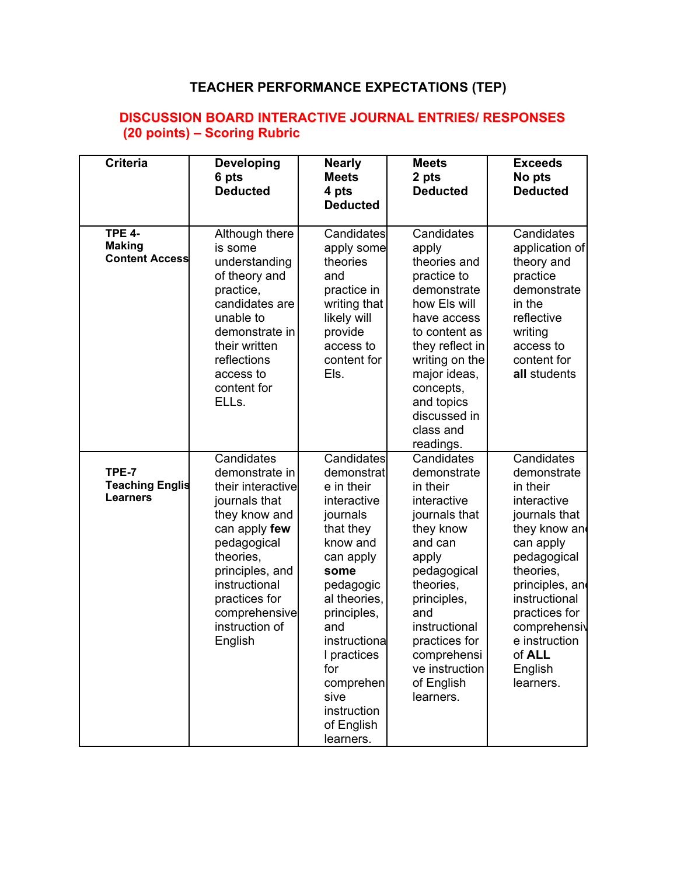## **TEACHER PERFORMANCE EXPECTATIONS (TEP)**

## **DISCUSSION BOARD INTERACTIVE JOURNAL ENTRIES/ RESPONSES (20 points) – Scoring Rubric**

| <b>Criteria</b>                                         | <b>Developing</b><br>6 pts<br><b>Deducted</b>                                                                                                                                                                                       | <b>Nearly</b><br><b>Meets</b><br>4 pts<br><b>Deducted</b>                                                                                                                                                                                                               | <b>Meets</b><br>2 pts<br><b>Deducted</b>                                                                                                                                                                                                               | <b>Exceeds</b><br>No pts<br><b>Deducted</b>                                                                                                                                                                                                             |
|---------------------------------------------------------|-------------------------------------------------------------------------------------------------------------------------------------------------------------------------------------------------------------------------------------|-------------------------------------------------------------------------------------------------------------------------------------------------------------------------------------------------------------------------------------------------------------------------|--------------------------------------------------------------------------------------------------------------------------------------------------------------------------------------------------------------------------------------------------------|---------------------------------------------------------------------------------------------------------------------------------------------------------------------------------------------------------------------------------------------------------|
| <b>TPE 4-</b><br><b>Making</b><br><b>Content Access</b> | Although there<br>is some<br>understanding<br>of theory and<br>practice,<br>candidates are<br>unable to<br>demonstrate in<br>their written<br>reflections<br>access to<br>content for<br>ELL <sub>S.</sub>                          | Candidates<br>apply some<br>theories<br>and<br>practice in<br>writing that<br>likely will<br>provide<br>access to<br>content for<br>Els.                                                                                                                                | Candidates<br>apply<br>theories and<br>practice to<br>demonstrate<br>how Els will<br>have access<br>to content as<br>they reflect in<br>writing on the<br>major ideas,<br>concepts,<br>and topics<br>discussed in<br>class and<br>readings.            | Candidates<br>application of<br>theory and<br>practice<br>demonstrate<br>in the<br>reflective<br>writing<br>access to<br>content for<br>all students                                                                                                    |
| TPE-7<br><b>Teaching Englis</b><br><b>Learners</b>      | Candidates<br>demonstrate in<br>their interactive<br>journals that<br>they know and<br>can apply few<br>pedagogical<br>theories,<br>principles, and<br>instructional<br>practices for<br>comprehensive<br>instruction of<br>English | Candidates<br>demonstrat<br>e in their<br>interactive<br>journals<br>that they<br>know and<br>can apply<br>some<br>pedagogic<br>al theories,<br>principles,<br>and<br>instructiona<br>I practices<br>for<br>comprehen<br>sive<br>instruction<br>of English<br>learners. | Candidates<br>demonstrate<br>in their<br>interactive<br>journals that<br>they know<br>and can<br>apply<br>pedagogical<br>theories,<br>principles,<br>and<br>instructional<br>practices for<br>comprehensi<br>ve instruction<br>of English<br>learners. | Candidates<br>demonstrate<br>in their<br>interactive<br>journals that<br>they know and<br>can apply<br>pedagogical<br>theories,<br>principles, and<br>instructional<br>practices for<br>comprehensiv<br>e instruction<br>of ALL<br>English<br>learners. |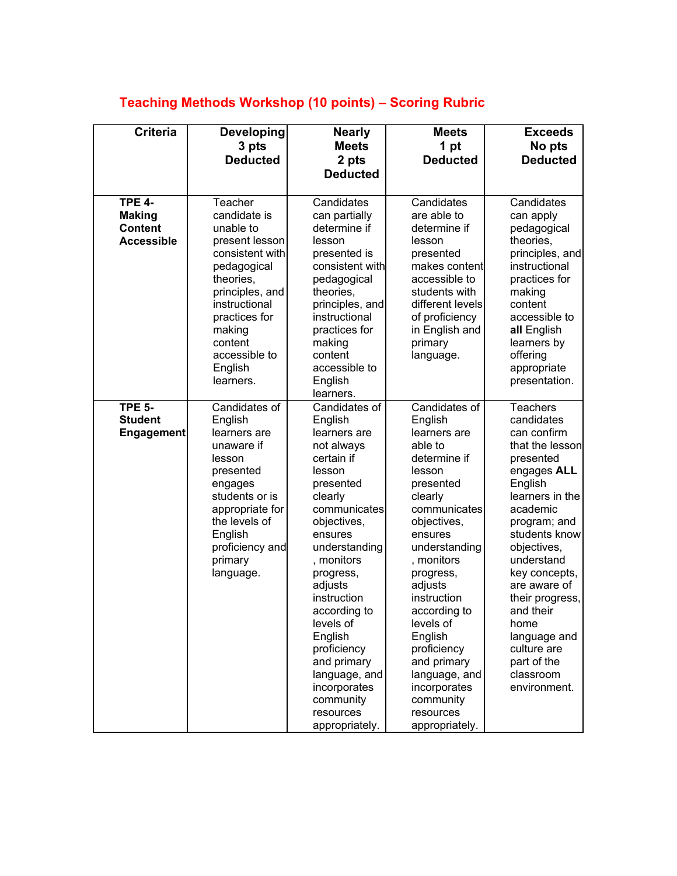## **Teaching Methods Workshop (10 points) – Scoring Rubric**

| <b>Criteria</b>                                                       | <b>Developing</b><br>3 pts<br><b>Deducted</b>                                                                                                                                                                            | <b>Nearly</b><br><b>Meets</b><br>2 pts<br><b>Deducted</b>                                                                                                                                                                                                                                                                                                                 | <b>Meets</b><br>1 pt<br><b>Deducted</b>                                                                                                                                                                                                                                                                                                                                  | <b>Exceeds</b><br>No pts<br><b>Deducted</b>                                                                                                                                                                                                                                                                                                             |
|-----------------------------------------------------------------------|--------------------------------------------------------------------------------------------------------------------------------------------------------------------------------------------------------------------------|---------------------------------------------------------------------------------------------------------------------------------------------------------------------------------------------------------------------------------------------------------------------------------------------------------------------------------------------------------------------------|--------------------------------------------------------------------------------------------------------------------------------------------------------------------------------------------------------------------------------------------------------------------------------------------------------------------------------------------------------------------------|---------------------------------------------------------------------------------------------------------------------------------------------------------------------------------------------------------------------------------------------------------------------------------------------------------------------------------------------------------|
| <b>TPE 4-</b><br><b>Making</b><br><b>Content</b><br><b>Accessible</b> | Teacher<br>candidate is<br>unable to<br>present lesson<br>consistent with<br>pedagogical<br>theories,<br>principles, and<br>instructional<br>practices for<br>making<br>content<br>accessible to<br>English<br>learners. | Candidates<br>can partially<br>determine if<br>lesson<br>presented is<br>consistent with<br>pedagogical<br>theories,<br>principles, and<br>instructional<br>practices for<br>making<br>content<br>accessible to<br>English<br>learners.                                                                                                                                   | Candidates<br>are able to<br>determine if<br>lesson<br>presented<br>makes content<br>accessible to<br>students with<br>different levels<br>of proficiency<br>in English and<br>primary<br>language.                                                                                                                                                                      | Candidates<br>can apply<br>pedagogical<br>theories,<br>principles, and<br>instructional<br>practices for<br>making<br>content<br>accessible to<br>all English<br>learners by<br>offering<br>appropriate<br>presentation.                                                                                                                                |
| <b>TPE 5-</b><br><b>Student</b><br><b>Engagement</b>                  | Candidates of<br>English<br>learners are<br>unaware if<br>lesson<br>presented<br>engages<br>students or is<br>appropriate for<br>the levels of<br>English<br>proficiency and<br>primary<br>language.                     | Candidates of<br>English<br>learners are<br>not always<br>certain if<br>lesson<br>presented<br>clearly<br>communicates<br>objectives,<br>ensures<br>understanding<br>, monitors<br>progress,<br>adjusts<br>instruction<br>according to<br>levels of<br>English<br>proficiency<br>and primary<br>language, and<br>incorporates<br>community<br>resources<br>appropriately. | Candidates of<br>English<br>learners are<br>able to<br>determine if<br>lesson<br>presented<br>clearly<br>communicates<br>objectives,<br>ensures<br>understanding<br>, monitors<br>progress,<br>adjusts<br>instruction<br>according to<br>levels of<br>English<br>proficiency<br>and primary<br>language, and<br>incorporates<br>community<br>resources<br>appropriately. | <b>Teachers</b><br>candidates<br>can confirm<br>that the lesson<br>presented<br>engages ALL<br>English<br>learners in the<br>academic<br>program; and<br>students know<br>objectives,<br>understand<br>key concepts,<br>are aware of<br>their progress,<br>and their<br>home<br>language and<br>culture are<br>part of the<br>classroom<br>environment. |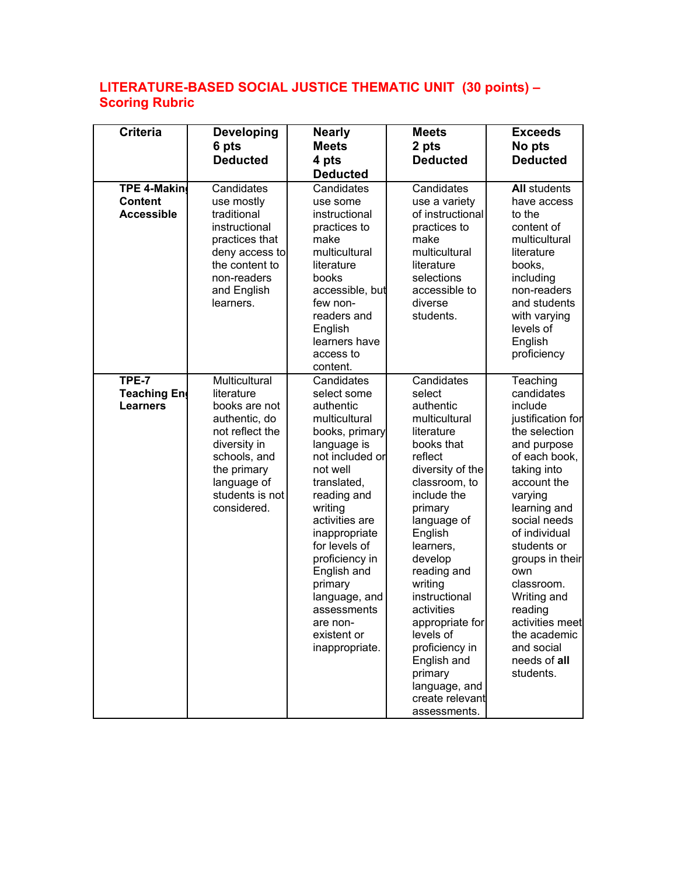## **LITERATURE-BASED SOCIAL JUSTICE THEMATIC UNIT (30 points) – Scoring Rubric**

| <b>Criteria</b>                                           | <b>Developing</b>                                                                                                                                                                | <b>Nearly</b>                                                                                                                                                                                                                                                                                                                                 | <b>Meets</b>                                                                                                                                                                                                                                                                                                                                                                                        | <b>Exceeds</b>                                                                                                                                                                                                                                                                                                                                                   |
|-----------------------------------------------------------|----------------------------------------------------------------------------------------------------------------------------------------------------------------------------------|-----------------------------------------------------------------------------------------------------------------------------------------------------------------------------------------------------------------------------------------------------------------------------------------------------------------------------------------------|-----------------------------------------------------------------------------------------------------------------------------------------------------------------------------------------------------------------------------------------------------------------------------------------------------------------------------------------------------------------------------------------------------|------------------------------------------------------------------------------------------------------------------------------------------------------------------------------------------------------------------------------------------------------------------------------------------------------------------------------------------------------------------|
|                                                           | 6 pts                                                                                                                                                                            | <b>Meets</b>                                                                                                                                                                                                                                                                                                                                  | 2 pts                                                                                                                                                                                                                                                                                                                                                                                               | No pts                                                                                                                                                                                                                                                                                                                                                           |
|                                                           | <b>Deducted</b>                                                                                                                                                                  | 4 pts                                                                                                                                                                                                                                                                                                                                         | <b>Deducted</b>                                                                                                                                                                                                                                                                                                                                                                                     | <b>Deducted</b>                                                                                                                                                                                                                                                                                                                                                  |
|                                                           |                                                                                                                                                                                  | <b>Deducted</b>                                                                                                                                                                                                                                                                                                                               |                                                                                                                                                                                                                                                                                                                                                                                                     |                                                                                                                                                                                                                                                                                                                                                                  |
| <b>TPE 4-Makin</b><br><b>Content</b><br><b>Accessible</b> | Candidates<br>use mostly<br>traditional<br>instructional<br>practices that<br>deny access to<br>the content to<br>non-readers<br>and English<br>learners.                        | Candidates<br>use some<br>instructional<br>practices to<br>make<br>multicultural<br>literature<br>books<br>accessible, but<br>few non-<br>readers and<br>English<br>learners have<br>access to<br>content.                                                                                                                                    | Candidates<br>use a variety<br>of instructional<br>practices to<br>make<br>multicultural<br>literature<br>selections<br>accessible to<br>diverse<br>students.                                                                                                                                                                                                                                       | <b>All students</b><br>have access<br>to the<br>content of<br>multicultural<br>literature<br>books,<br>including<br>non-readers<br>and students<br>with varying<br>levels of<br>English<br>proficiency                                                                                                                                                           |
| TPE-7<br>Teaching En<br><b>Learners</b>                   | Multicultural<br>literature<br>books are not<br>authentic, do<br>not reflect the<br>diversity in<br>schools, and<br>the primary<br>language of<br>students is not<br>considered. | Candidates<br>select some<br>authentic<br>multicultural<br>books, primary<br>language is<br>not included or<br>not well<br>translated,<br>reading and<br>writing<br>activities are<br>inappropriate<br>for levels of<br>proficiency in<br>English and<br>primary<br>language, and<br>assessments<br>are non-<br>existent or<br>inappropriate. | Candidates<br>select<br>authentic<br>multicultural<br>literature<br>books that<br>reflect<br>diversity of the<br>classroom, to<br>include the<br>primary<br>language of<br>English<br>learners,<br>develop<br>reading and<br>writing<br>instructional<br>activities<br>appropriate for<br>levels of<br>proficiency in<br>English and<br>primary<br>language, and<br>create relevant<br>assessments. | Teaching<br>candidates<br>include<br>justification for<br>the selection<br>and purpose<br>of each book,<br>taking into<br>account the<br>varying<br>learning and<br>social needs<br>of individual<br>students or<br>groups in their<br>own<br>classroom.<br>Writing and<br>reading<br>activities meet<br>the academic<br>and social<br>needs of all<br>students. |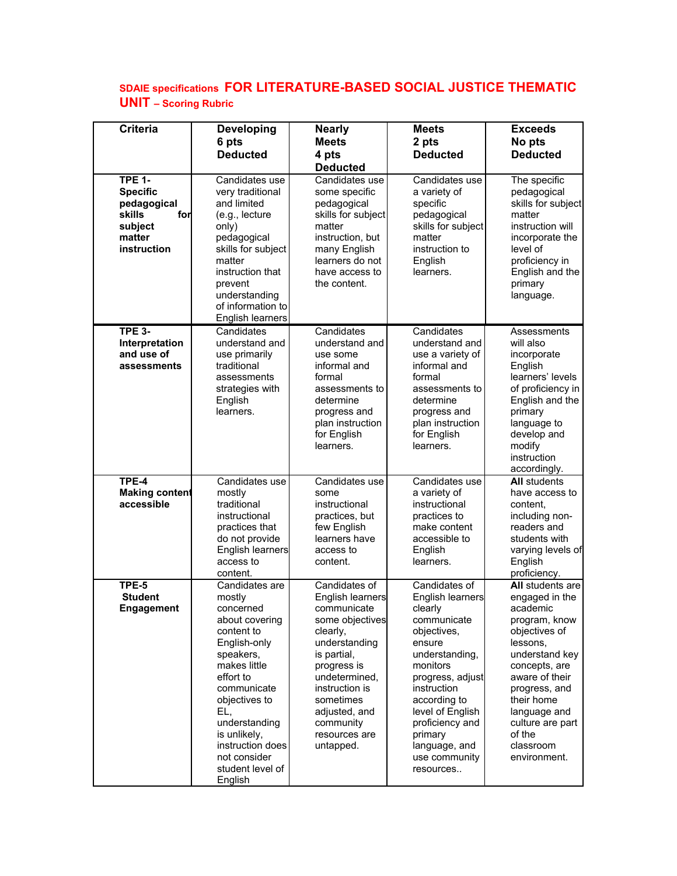## **SDAIE specifications FOR LITERATURE-BASED SOCIAL JUSTICE THEMATIC UNIT – Scoring Rubric**

| <b>Criteria</b>                                                                                      | <b>Developing</b><br>6 pts<br><b>Deducted</b>                                                                                                                                                                                                                              | <b>Nearly</b><br><b>Meets</b><br>4 pts<br><b>Deducted</b>                                                                                                                                                                                  | <b>Meets</b><br>2 pts<br><b>Deducted</b>                                                                                                                                                                                                                               | <b>Exceeds</b><br>No pts<br><b>Deducted</b>                                                                                                                                                                                                                 |
|------------------------------------------------------------------------------------------------------|----------------------------------------------------------------------------------------------------------------------------------------------------------------------------------------------------------------------------------------------------------------------------|--------------------------------------------------------------------------------------------------------------------------------------------------------------------------------------------------------------------------------------------|------------------------------------------------------------------------------------------------------------------------------------------------------------------------------------------------------------------------------------------------------------------------|-------------------------------------------------------------------------------------------------------------------------------------------------------------------------------------------------------------------------------------------------------------|
| <b>TPE 1-</b><br><b>Specific</b><br>pedagogical<br>skills<br>for<br>subject<br>matter<br>instruction | Candidates use<br>very traditional<br>and limited<br>(e.g., lecture<br>only)<br>pedagogical<br>skills for subject<br>matter<br>instruction that<br>prevent<br>understanding<br>of information to<br>English learners                                                       | Candidates use<br>some specific<br>pedagogical<br>skills for subject<br>matter<br>instruction, but<br>many English<br>learners do not<br>have access to<br>the content.                                                                    | Candidates use<br>a variety of<br>specific<br>pedagogical<br>skills for subject<br>matter<br>instruction to<br>English<br>learners.                                                                                                                                    | The specific<br>pedagogical<br>skills for subject<br>matter<br>instruction will<br>incorporate the<br>level of<br>proficiency in<br>English and the<br>primary<br>language.                                                                                 |
| <b>TPE 3-</b><br>Interpretation<br>and use of<br>assessments                                         | Candidates<br>understand and<br>use primarily<br>traditional<br>assessments<br>strategies with<br>English<br>learners.                                                                                                                                                     | Candidates<br>understand and<br>use some<br>informal and<br>formal<br>assessments to<br>determine<br>progress and<br>plan instruction<br>for English<br>learners.                                                                          | Candidates<br>understand and<br>use a variety of<br>informal and<br>formal<br>assessments to<br>determine<br>progress and<br>plan instruction<br>for English<br>learners.                                                                                              | Assessments<br>will also<br>incorporate<br>English<br>learners' levels<br>of proficiency in<br>English and the<br>primary<br>language to<br>develop and<br>modify<br>instruction<br>accordingly.                                                            |
| TPE-4<br><b>Making content</b><br>accessible                                                         | Candidates use<br>mostly<br>traditional<br>instructional<br>practices that<br>do not provide<br>English learners<br>access to<br>content.                                                                                                                                  | Candidates use<br>some<br>instructional<br>practices, but<br>few English<br>learners have<br>access to<br>content.                                                                                                                         | Candidates use<br>a variety of<br>instructional<br>practices to<br>make content<br>accessible to<br>English<br>learners.                                                                                                                                               | <b>All students</b><br>have access to<br>content,<br>including non-<br>readers and<br>students with<br>varying levels of<br>English<br>proficiency.                                                                                                         |
| TPE-5<br><b>Student</b><br><b>Engagement</b>                                                         | Candidates are<br>mostly<br>concerned<br>about covering<br>content to<br>English-only<br>speakers,<br>makes little<br>effort to<br>communicate<br>objectives to<br>EL,<br>understanding<br>is unlikely,<br>instruction does<br>not consider<br>student level of<br>English | Candidates of<br>English learners<br>communicate<br>some objectives<br>clearly,<br>understanding<br>is partial,<br>progress is<br>undetermined,<br>instruction is<br>sometimes<br>adjusted, and<br>community<br>resources are<br>untapped. | Candidates of<br>English learners<br>clearly<br>communicate<br>objectives,<br>ensure<br>understanding,<br>monitors<br>progress, adjust<br>instruction<br>according to<br>level of English<br>proficiency and<br>primary<br>language, and<br>use community<br>resources | All students are<br>engaged in the<br>academic<br>program, know<br>objectives of<br>lessons,<br>understand key<br>concepts, are<br>aware of their<br>progress, and<br>their home<br>language and<br>culture are part<br>of the<br>classroom<br>environment. |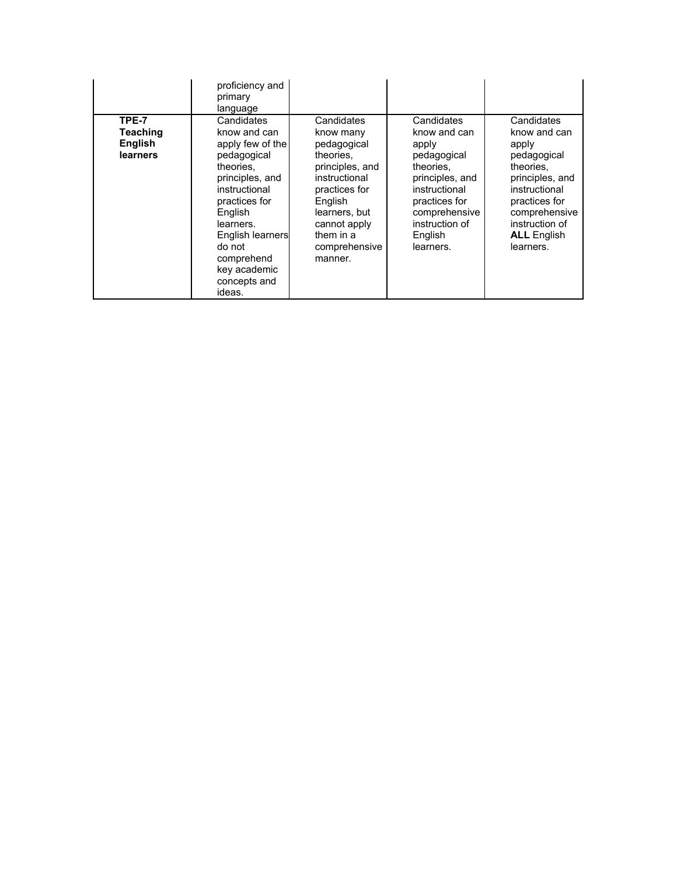|                                                        | proficiency and<br>primary<br>language                                                                                                                                                                                                               |                                                                                                                                                                                               |                                                                                                                                                                                 |                                                                                                                                                                                            |
|--------------------------------------------------------|------------------------------------------------------------------------------------------------------------------------------------------------------------------------------------------------------------------------------------------------------|-----------------------------------------------------------------------------------------------------------------------------------------------------------------------------------------------|---------------------------------------------------------------------------------------------------------------------------------------------------------------------------------|--------------------------------------------------------------------------------------------------------------------------------------------------------------------------------------------|
| TPE-7<br><b>Teaching</b><br><b>English</b><br>learners | Candidates<br>know and can<br>apply few of the<br>pedagogical<br>theories.<br>principles, and<br>instructional<br>practices for<br>English<br>learners.<br><b>English learners</b><br>do not<br>comprehend<br>key academic<br>concepts and<br>ideas. | Candidates<br>know many<br>pedagogical<br>theories.<br>principles, and<br>instructional<br>practices for<br>English<br>learners, but<br>cannot apply<br>them in a<br>comprehensive<br>manner. | Candidates<br>know and can<br>apply<br>pedagogical<br>theories.<br>principles, and<br>instructional<br>practices for<br>comprehensive<br>instruction of<br>English<br>learners. | Candidates<br>know and can<br>apply<br>pedagogical<br>theories.<br>principles, and<br>instructional<br>practices for<br>comprehensive<br>instruction of<br><b>ALL</b> English<br>learners. |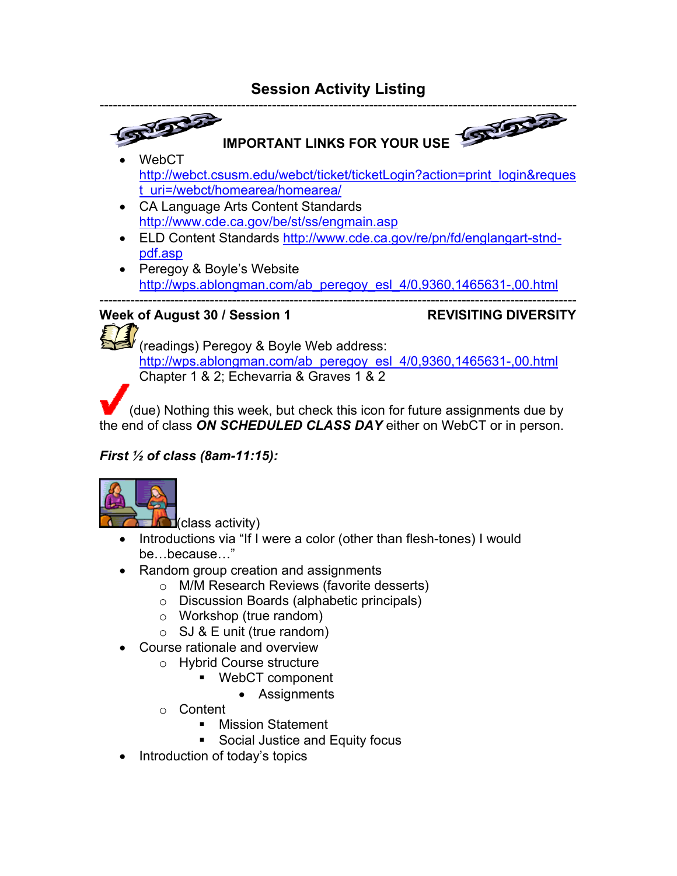

Chapter 1 & 2; Echevarria & Graves 1 & 2

(due) Nothing this week, but check this icon for future assignments due by the end of class *ON SCHEDULED CLASS DAY* either on WebCT or in person.

## *First ½ of class (8am-11:15):*



 $d$ (class activity)

- Introductions via "If I were a color (other than flesh-tones) I would be…because…"
- Random group creation and assignments
	- o M/M Research Reviews (favorite desserts)
	- o Discussion Boards (alphabetic principals)
	- o Workshop (true random)
	- $\circ$  SJ & E unit (true random)
- Course rationale and overview
	- o Hybrid Course structure
		- WebCT component
			- Assignments
	- o Content
		- **Mission Statement**
		- **Social Justice and Equity focus**
- Introduction of today's topics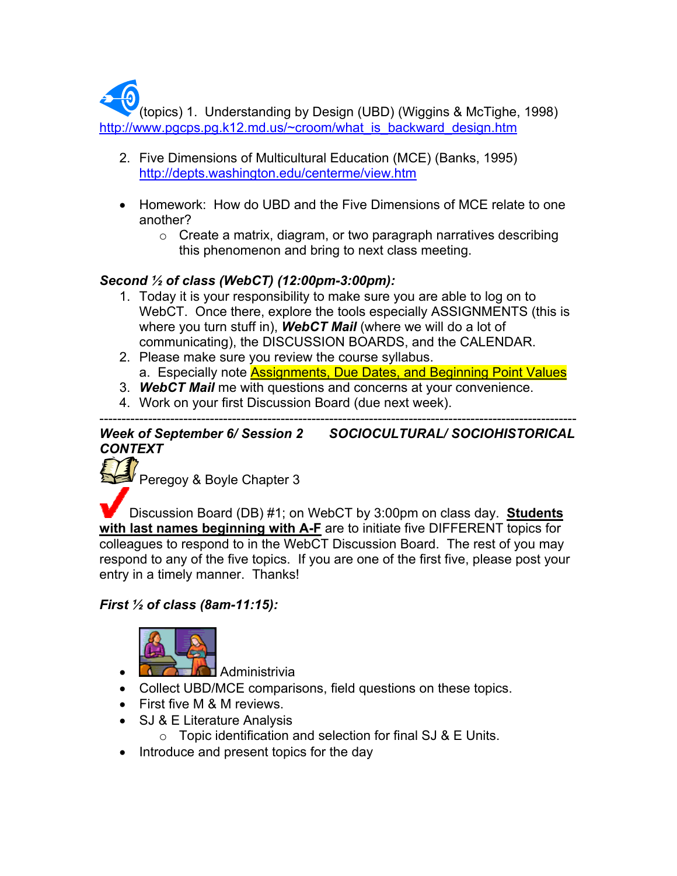(topics) 1. Understanding by Design (UBD) (Wiggins & McTighe, 1998) http://www.pgcps.pg.k12.md.us/~croom/what\_is\_backward\_design.htm

- 2. Five Dimensions of Multicultural Education (MCE) (Banks, 1995) http://depts.washington.edu/centerme/view.htm
- Homework: How do UBD and the Five Dimensions of MCE relate to one another?
	- $\circ$  Create a matrix, diagram, or two paragraph narratives describing this phenomenon and bring to next class meeting.

## *Second ½ of class (WebCT) (12:00pm-3:00pm):*

- 1. Today it is your responsibility to make sure you are able to log on to WebCT. Once there, explore the tools especially ASSIGNMENTS (this is where you turn stuff in), *WebCT Mail* (where we will do a lot of communicating), the DISCUSSION BOARDS, and the CALENDAR.
- 2. Please make sure you review the course syllabus. a. Especially note Assignments, Due Dates, and Beginning Point Values
- 3. *WebCT Mail* me with questions and concerns at your convenience.
- 4. Work on your first Discussion Board (due next week).

#### ------------------------------------------------------------------------------------------------------------ *Week of September 6/ Session 2 SOCIOCULTURAL/ SOCIOHISTORICAL CONTEXT*

Peregoy & Boyle Chapter 3

Discussion Board (DB) #1; on WebCT by 3:00pm on class day. **Students with last names beginning with A-F** are to initiate five DIFFERENT topics for colleagues to respond to in the WebCT Discussion Board. The rest of you may respond to any of the five topics. If you are one of the first five, please post your entry in a timely manner. Thanks!

## *First ½ of class (8am-11:15):*



- $\bullet$  **Administrivia**
- Collect UBD/MCE comparisons, field questions on these topics.
- First five M & M reviews.
- SJ & E Literature Analysis
	- $\circ$  Topic identification and selection for final SJ & E Units.
- Introduce and present topics for the day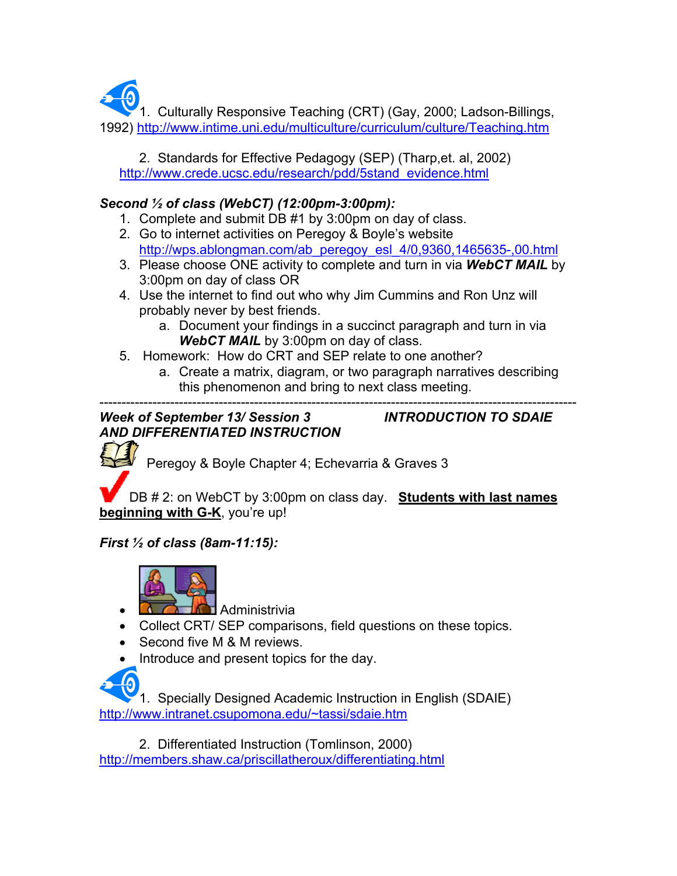1. Culturally Responsive Teaching (CRT) (Gay, 2000; Ladson-Billings, 1992) http://www.intime.uni.edu/multiculture/curriculum/culture/Teaching.htm

 2. Standards for Effective Pedagogy (SEP) (Tharp,et. al, 2002) http://www.crede.ucsc.edu/research/pdd/5stand\_evidence.html

## *Second ½ of class (WebCT) (12:00pm-3:00pm):*

- 1. Complete and submit DB #1 by 3:00pm on day of class.
- 2. Go to internet activities on Peregoy & Boyle's website http://wps.ablongman.com/ab\_peregoy\_esl\_4/0,9360,1465635-,00.html
- 3. Please choose ONE activity to complete and turn in via *WebCT MAIL* by 3:00pm on day of class OR
- 4. Use the internet to find out who why Jim Cummins and Ron Unz will probably never by best friends.
	- a. Document your findings in a succinct paragraph and turn in via *WebCT MAIL* by 3:00pm on day of class.
- 5. Homework: How do CRT and SEP relate to one another?
	- a. Create a matrix, diagram, or two paragraph narratives describing this phenomenon and bring to next class meeting.

#### ------------------------------------------------------------------------------------------------------------ *Week of September 13/ Session 3 INTRODUCTION TO SDAIE AND DIFFERENTIATED INSTRUCTION*

Peregoy & Boyle Chapter 4; Echevarria & Graves 3

DB # 2: on WebCT by 3:00pm on class day. **Students with last names beginning with G-K**, you're up!

## *First ½ of class (8am-11:15):*



- **<u>H</u>** Administrivia
- Collect CRT/ SEP comparisons, field questions on these topics.
- Second five M & M reviews.
- Introduce and present topics for the day.



1. Specially Designed Academic Instruction in English (SDAIE) http://www.intranet.csupomona.edu/~tassi/sdaie.htm

 2. Differentiated Instruction (Tomlinson, 2000) http://members.shaw.ca/priscillatheroux/differentiating.html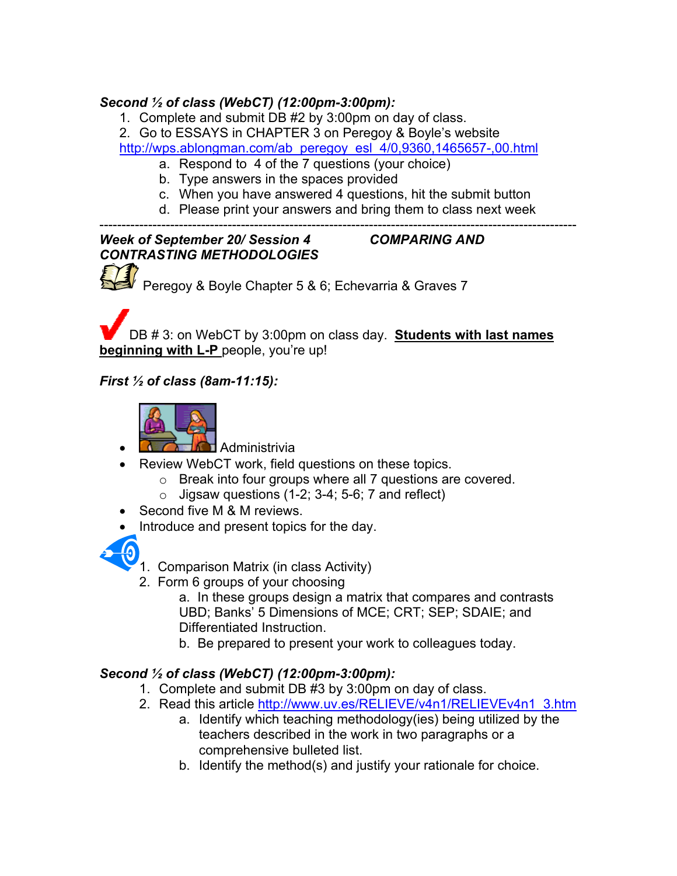## *Second ½ of class (WebCT) (12:00pm-3:00pm):*

- 1. Complete and submit DB #2 by 3:00pm on day of class.
- 2. Go to ESSAYS in CHAPTER 3 on Peregoy & Boyle's website

http://wps.ablongman.com/ab\_peregoy\_esl\_4/0,9360,1465657-,00.html

- a. Respond to 4 of the 7 questions (your choice)
- b. Type answers in the spaces provided
- c. When you have answered 4 questions, hit the submit button
- d. Please print your answers and bring them to class next week

### ------------------------------------------------------------------------------------------------------------ *Week of September 20/ Session 4 COMPARING AND CONTRASTING METHODOLOGIES*

Peregoy & Boyle Chapter 5 & 6; Echevarria & Graves 7

DB # 3: on WebCT by 3:00pm on class day. **Students with last names beginning with L-P** people, you're up!

## *First ½ of class (8am-11:15):*



- **<u></u> Administrivia**
- Review WebCT work, field questions on these topics.
	- o Break into four groups where all 7 questions are covered.
	- $\circ$  Jigsaw questions (1-2; 3-4; 5-6; 7 and reflect)
- Second five M & M reviews.
- Introduce and present topics for the day.



- 1. Comparison Matrix (in class Activity)
- 2. Form 6 groups of your choosing

a. In these groups design a matrix that compares and contrasts UBD; Banks' 5 Dimensions of MCE; CRT; SEP; SDAIE; and Differentiated Instruction.

b. Be prepared to present your work to colleagues today.

## *Second ½ of class (WebCT) (12:00pm-3:00pm):*

- 1. Complete and submit DB #3 by 3:00pm on day of class.
- 2. Read this article http://www.uv.es/RELIEVE/v4n1/RELIEVEv4n1\_3.htm
	- a. Identify which teaching methodology(ies) being utilized by the teachers described in the work in two paragraphs or a comprehensive bulleted list.
	- b. Identify the method(s) and justify your rationale for choice.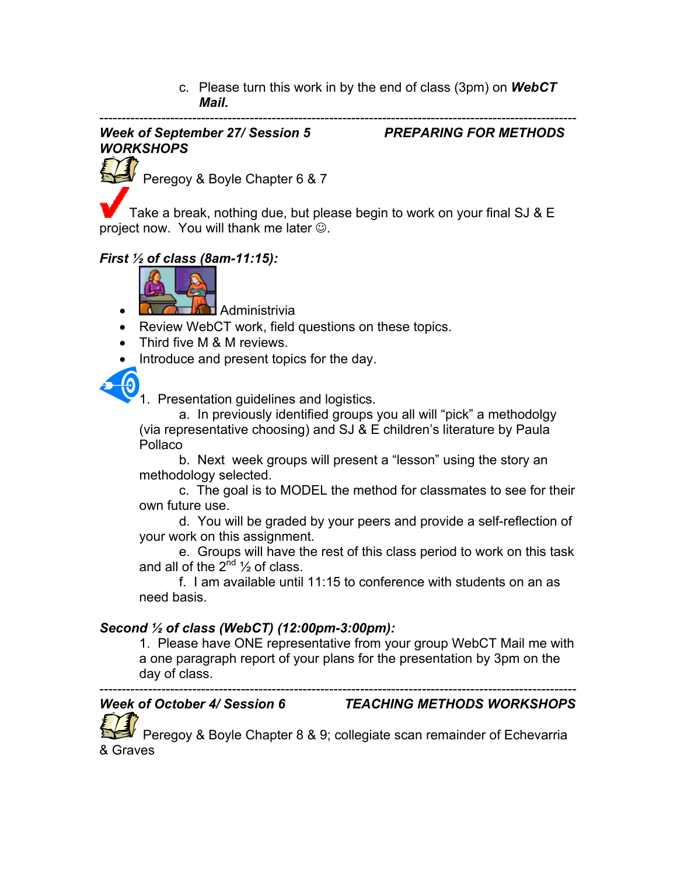c. Please turn this work in by the end of class (3pm) on *WebCT Mail.*

#### ------------------------------------------------------------------------------------------------------------ *Week of September 27/ Session 5 PREPARING FOR METHODS WORKSHOPS*

Peregoy & Boyle Chapter 6 & 7

Take a break, nothing due, but please begin to work on your final SJ & E project now. You will thank me later  $\odot$ .

## *First ½ of class (8am-11:15):*



- $\blacksquare$  Administrivia
- Review WebCT work, field questions on these topics.
- Third five M & M reviews.
- Introduce and present topics for the day.



1. Presentation guidelines and logistics.

a. In previously identified groups you all will "pick" a methodolgy (via representative choosing) and SJ & E children's literature by Paula Pollaco

b. Next week groups will present a "lesson" using the story an methodology selected.

c. The goal is to MODEL the method for classmates to see for their own future use.

d. You will be graded by your peers and provide a self-reflection of your work on this assignment.

e. Groups will have the rest of this class period to work on this task and all of the  $2^{nd}$   $\frac{1}{2}$  of class.

f. I am available until 11:15 to conference with students on an as need basis.

## *Second ½ of class (WebCT) (12:00pm-3:00pm):*

1. Please have ONE representative from your group WebCT Mail me with a one paragraph report of your plans for the presentation by 3pm on the day of class.

#### ------------------------------------------------------------------------------------------------------------ *Week of October 4/ Session 6 TEACHING METHODS WORKSHOPS*

 Peregoy & Boyle Chapter 8 & 9; collegiate scan remainder of Echevarria & Graves